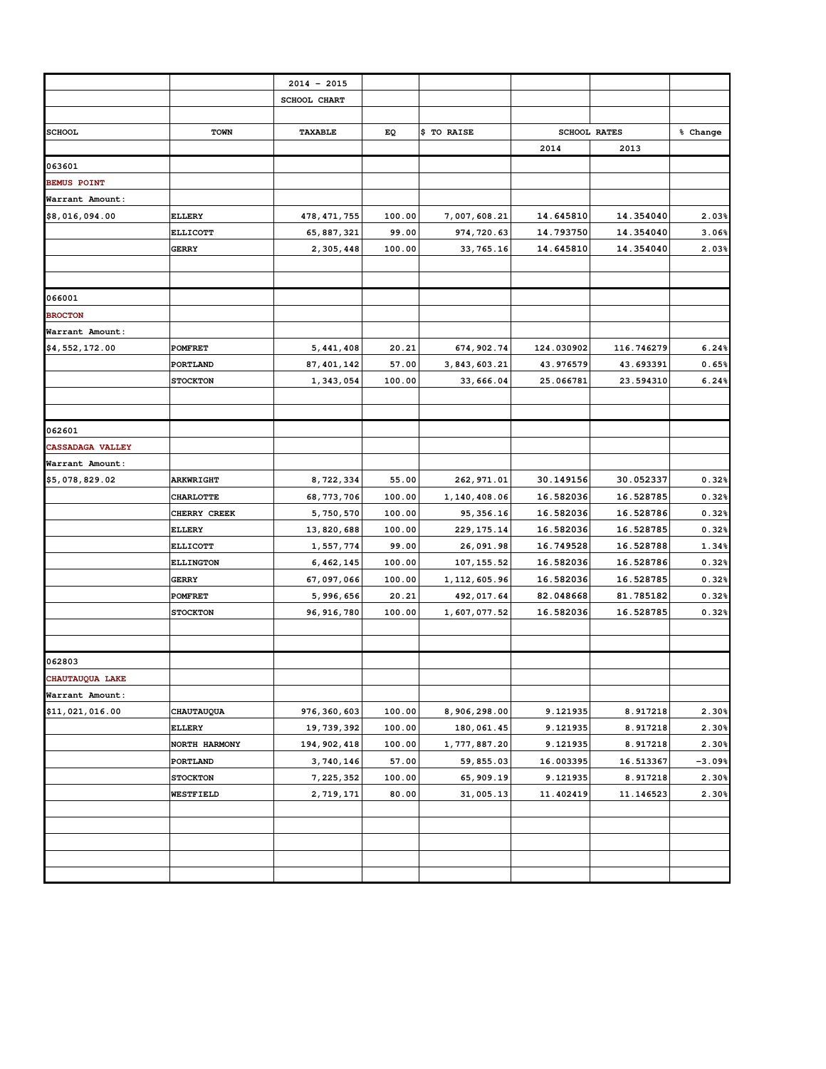|                         |                  | $2014 - 2015$ |        |                |            |                     |          |
|-------------------------|------------------|---------------|--------|----------------|------------|---------------------|----------|
|                         |                  | SCHOOL CHART  |        |                |            |                     |          |
|                         |                  |               |        |                |            |                     |          |
| <b>SCHOOL</b>           | <b>TOWN</b>      | TAXABLE       | EQ     | \$ TO RAISE    |            | <b>SCHOOL RATES</b> | % Change |
|                         |                  |               |        |                | 2014       | 2013                |          |
| 063601                  |                  |               |        |                |            |                     |          |
| <b>BEMUS POINT</b>      |                  |               |        |                |            |                     |          |
| Warrant Amount:         |                  |               |        |                |            |                     |          |
| \$8,016,094.00          | <b>ELLERY</b>    | 478, 471, 755 | 100.00 | 7,007,608.21   | 14.645810  | 14.354040           | 2.03%    |
|                         | <b>ELLICOTT</b>  | 65, 887, 321  | 99.00  | 974, 720.63    | 14.793750  | 14.354040           | 3.06%    |
|                         | <b>GERRY</b>     | 2,305,448     | 100.00 | 33, 765.16     | 14.645810  | 14.354040           | 2.03%    |
|                         |                  |               |        |                |            |                     |          |
| 066001                  |                  |               |        |                |            |                     |          |
| <b>BROCTON</b>          |                  |               |        |                |            |                     |          |
| Warrant Amount:         |                  |               |        |                |            |                     |          |
| \$4,552,172.00          | <b>POMFRET</b>   | 5, 441, 408   | 20.21  | 674, 902.74    | 124.030902 | 116.746279          | 6.24%    |
|                         | PORTLAND         | 87, 401, 142  | 57.00  | 3, 843, 603.21 | 43.976579  | 43.693391           | 0.65%    |
|                         | <b>STOCKTON</b>  | 1,343,054     | 100.00 | 33,666.04      | 25.066781  | 23.594310           | 6.24%    |
|                         |                  |               |        |                |            |                     |          |
|                         |                  |               |        |                |            |                     |          |
| 062601                  |                  |               |        |                |            |                     |          |
| <b>CASSADAGA VALLEY</b> |                  |               |        |                |            |                     |          |
| Warrant Amount:         |                  |               |        |                |            |                     |          |
| \$5,078,829.02          | <b>ARKWRIGHT</b> | 8,722,334     | 55.00  | 262, 971.01    | 30.149156  | 30.052337           | 0.32%    |
|                         | <b>CHARLOTTE</b> | 68, 773, 706  | 100.00 | 1,140,408.06   | 16.582036  | 16.528785           | 0.32%    |
|                         | CHERRY CREEK     | 5,750,570     | 100.00 | 95, 356.16     | 16.582036  | 16.528786           | 0.32%    |
|                         | <b>ELLERY</b>    | 13,820,688    | 100.00 | 229, 175.14    | 16.582036  | 16.528785           | 0.32%    |
|                         | <b>ELLICOTT</b>  | 1,557,774     | 99.00  | 26,091.98      | 16.749528  | 16.528788           | 1.34%    |
|                         | <b>ELLINGTON</b> | 6, 462, 145   | 100.00 | 107, 155.52    | 16.582036  | 16.528786           | 0.32%    |
|                         | <b>GERRY</b>     | 67,097,066    | 100.00 | 1, 112, 605.96 | 16.582036  | 16.528785           | 0.32%    |
|                         | <b>POMFRET</b>   | 5,996,656     | 20.21  | 492, 017.64    | 82.048668  | 81.785182           | 0.32%    |
|                         | <b>STOCKTON</b>  | 96, 916, 780  | 100.00 | 1,607,077.52   | 16.582036  | 16.528785           | 0.32%    |
|                         |                  |               |        |                |            |                     |          |
| 062803                  |                  |               |        |                |            |                     |          |
| <b>CHAUTAUOUA LAKE</b>  |                  |               |        |                |            |                     |          |
| Warrant Amount:         |                  |               |        |                |            |                     |          |
| \$11,021,016.00         | CHAUTAUQUA       | 976, 360, 603 | 100.00 | 8,906,298.00   | 9.121935   | 8.917218            | 2.30%    |
|                         | <b>ELLERY</b>    | 19, 739, 392  | 100.00 | 180,061.45     | 9.121935   | 8.917218            | 2.30%    |
|                         | NORTH HARMONY    | 194, 902, 418 | 100.00 | 1,777,887.20   | 9.121935   | 8.917218            | 2.30%    |
|                         | PORTLAND         | 3,740,146     | 57.00  | 59,855.03      | 16.003395  | 16.513367           | $-3.09%$ |
|                         | <b>STOCKTON</b>  | 7, 225, 352   | 100.00 | 65, 909.19     | 9.121935   | 8.917218            | 2.30%    |
|                         | WESTFIELD        | 2,719,171     | 80.00  | 31,005.13      | 11.402419  | 11.146523           | 2.30%    |
|                         |                  |               |        |                |            |                     |          |
|                         |                  |               |        |                |            |                     |          |
|                         |                  |               |        |                |            |                     |          |
|                         |                  |               |        |                |            |                     |          |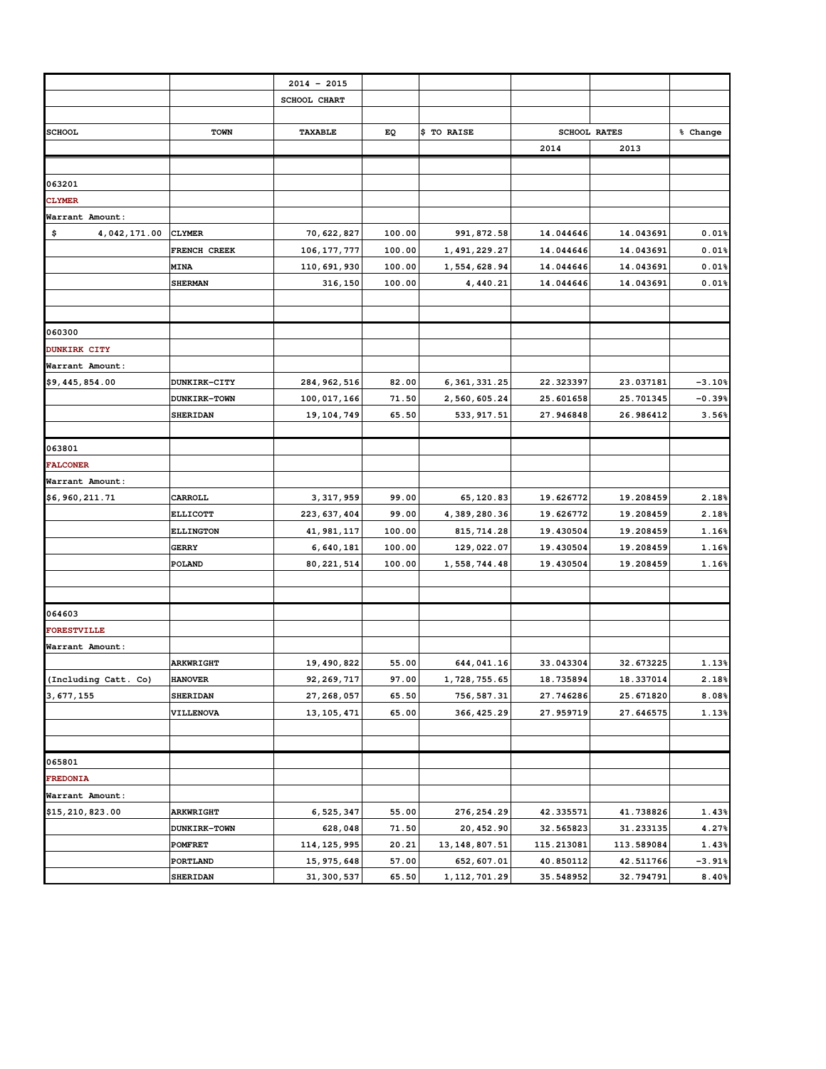|                      |                     | $2014 - 2015$ |        |                 |                     |            |          |
|----------------------|---------------------|---------------|--------|-----------------|---------------------|------------|----------|
|                      |                     | SCHOOL CHART  |        |                 |                     |            |          |
|                      |                     |               |        |                 |                     |            |          |
| <b>SCHOOL</b>        | <b>TOWN</b>         | TAXABLE       | EQ     | \$ TO RAISE     | <b>SCHOOL RATES</b> |            | % Change |
|                      |                     |               |        |                 | 2014                | 2013       |          |
|                      |                     |               |        |                 |                     |            |          |
| 063201               |                     |               |        |                 |                     |            |          |
| <b>CLYMER</b>        |                     |               |        |                 |                     |            |          |
| Warrant Amount:      |                     |               |        |                 |                     |            |          |
| \$<br>4,042,171.00   | <b>CLYMER</b>       | 70, 622, 827  | 100.00 | 991, 872.58     | 14.044646           | 14.043691  | 0.01%    |
|                      | FRENCH CREEK        | 106, 177, 777 | 100.00 | 1, 491, 229.27  | 14.044646           | 14.043691  | 0.01%    |
|                      | <b>MINA</b>         | 110,691,930   | 100.00 | 1,554,628.94    | 14.044646           | 14.043691  | 0.01%    |
|                      | <b>SHERMAN</b>      | 316,150       | 100.00 | 4,440.21        | 14.044646           | 14.043691  | 0.01%    |
|                      |                     |               |        |                 |                     |            |          |
|                      |                     |               |        |                 |                     |            |          |
| 060300               |                     |               |        |                 |                     |            |          |
| <b>DUNKIRK CITY</b>  |                     |               |        |                 |                     |            |          |
| Warrant Amount:      |                     |               |        |                 |                     |            |          |
| \$9,445,854.00       | <b>DUNKIRK-CITY</b> | 284, 962, 516 | 82.00  | 6, 361, 331.25  | 22.323397           | 23.037181  | $-3.10%$ |
|                      | <b>DUNKIRK-TOWN</b> | 100,017,166   | 71.50  | 2,560,605.24    | 25.601658           | 25.701345  | $-0.39%$ |
|                      | <b>SHERIDAN</b>     | 19, 104, 749  | 65.50  | 533, 917.51     | 27.946848           | 26.986412  | 3.56%    |
|                      |                     |               |        |                 |                     |            |          |
| 063801               |                     |               |        |                 |                     |            |          |
| <b>FALCONER</b>      |                     |               |        |                 |                     |            |          |
| Warrant Amount:      |                     |               |        |                 |                     |            |          |
| \$6,960,211.71       | CARROLL             | 3, 317, 959   | 99.00  | 65,120.83       | 19.626772           | 19.208459  | 2.18%    |
|                      | <b>ELLICOTT</b>     | 223, 637, 404 | 99.00  | 4,389,280.36    | 19.626772           | 19.208459  | 2.18%    |
|                      | <b>ELLINGTON</b>    | 41, 981, 117  | 100.00 | 815, 714.28     | 19.430504           | 19.208459  | 1.16%    |
|                      | <b>GERRY</b>        | 6,640,181     | 100.00 | 129,022.07      | 19.430504           | 19.208459  | 1.16%    |
|                      | POLAND              | 80, 221, 514  | 100.00 | 1,558,744.48    | 19.430504           | 19.208459  | 1.16%    |
|                      |                     |               |        |                 |                     |            |          |
|                      |                     |               |        |                 |                     |            |          |
| 064603               |                     |               |        |                 |                     |            |          |
| <b>FORESTVILLE</b>   |                     |               |        |                 |                     |            |          |
| Warrant Amount:      |                     |               |        |                 |                     |            |          |
|                      | <b>ARKWRIGHT</b>    | 19,490,822    | 55.00  | 644, 041.16     | 33.043304           | 32.673225  | 1.13%    |
| (Including Catt. Co) | <b>HANOVER</b>      | 92, 269, 717  | 97.00  | 1, 728, 755.65  | 18.735894           | 18.337014  | 2.18%    |
| 3,677,155            | SHERIDAN            | 27, 268, 057  | 65.50  | 756, 587.31     | 27.746286           | 25.671820  | 8.08%    |
|                      | <b>VILLENOVA</b>    | 13, 105, 471  | 65.00  | 366, 425.29     | 27.959719           | 27.646575  | 1.13%    |
|                      |                     |               |        |                 |                     |            |          |
|                      |                     |               |        |                 |                     |            |          |
| 065801               |                     |               |        |                 |                     |            |          |
| <b>FREDONIA</b>      |                     |               |        |                 |                     |            |          |
| Warrant Amount:      |                     |               |        |                 |                     |            |          |
| \$15,210,823.00      | <b>ARKWRIGHT</b>    | 6, 525, 347   | 55.00  | 276, 254.29     | 42.335571           | 41.738826  | 1.43%    |
|                      | DUNKIRK-TOWN        | 628,048       | 71.50  | 20, 452.90      | 32.565823           | 31.233135  | 4.27%    |
|                      | <b>POMFRET</b>      | 114, 125, 995 | 20.21  | 13, 148, 807.51 | 115.213081          | 113.589084 | 1.43%    |
|                      | PORTLAND            | 15, 975, 648  | 57.00  | 652, 607.01     | 40.850112           | 42.511766  | $-3.91%$ |
|                      | SHERIDAN            | 31, 300, 537  | 65.50  | 1, 112, 701.29  | 35.548952           | 32.794791  | 8.40%    |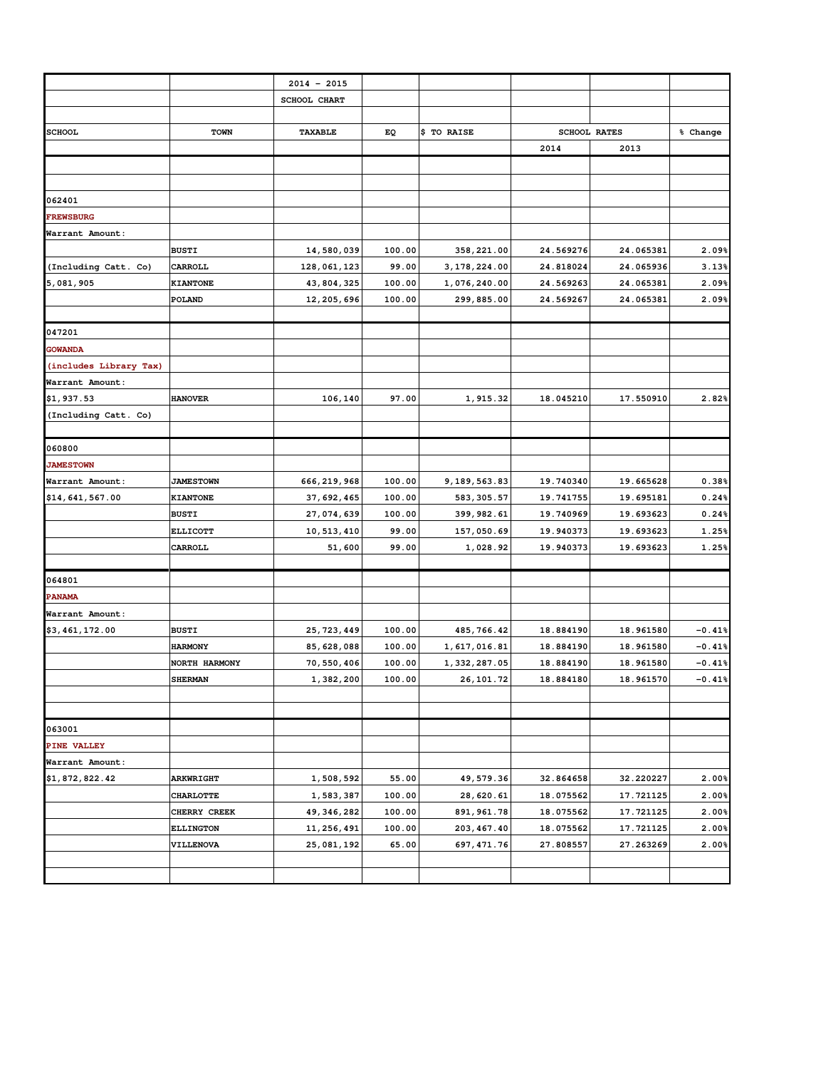|                         |                  | $2014 - 2015$ |        |                |           |                     |          |
|-------------------------|------------------|---------------|--------|----------------|-----------|---------------------|----------|
|                         |                  | SCHOOL CHART  |        |                |           |                     |          |
|                         |                  |               |        |                |           |                     |          |
| <b>SCHOOL</b>           | <b>TOWN</b>      | TAXABLE       | EQ     | \$ TO RAISE    |           | <b>SCHOOL RATES</b> |          |
|                         |                  |               |        |                | 2014      | 2013                |          |
|                         |                  |               |        |                |           |                     |          |
|                         |                  |               |        |                |           |                     |          |
| 062401                  |                  |               |        |                |           |                     |          |
| <b>FREWSBURG</b>        |                  |               |        |                |           |                     |          |
| Warrant Amount:         |                  |               |        |                |           |                     |          |
|                         | <b>BUSTI</b>     | 14,580,039    | 100.00 | 358, 221.00    | 24.569276 | 24.065381           | 2.09%    |
| (Including Catt. Co)    | CARROLL          | 128,061,123   | 99.00  | 3, 178, 224.00 | 24.818024 | 24.065936           | 3.13%    |
| 5,081,905               | <b>KIANTONE</b>  | 43, 804, 325  | 100.00 | 1,076,240.00   | 24.569263 | 24.065381           | 2.09%    |
|                         | POLAND           | 12, 205, 696  | 100.00 | 299,885.00     | 24.569267 | 24.065381           | 2.09%    |
|                         |                  |               |        |                |           |                     |          |
| 047201                  |                  |               |        |                |           |                     |          |
| <b>GOWANDA</b>          |                  |               |        |                |           |                     |          |
| (includes Library Tax)  |                  |               |        |                |           |                     |          |
| Warrant Amount:         |                  |               |        |                |           |                     |          |
| \$1,937.53              | <b>HANOVER</b>   | 106,140       | 97.00  | 1,915.32       | 18.045210 | 17.550910           | 2.82%    |
| (Including Catt. Co)    |                  |               |        |                |           |                     |          |
|                         |                  |               |        |                |           |                     |          |
| 060800                  |                  |               |        |                |           |                     |          |
| <b>JAMESTOWN</b>        |                  |               |        |                |           |                     |          |
| Warrant Amount:         | <b>JAMESTOWN</b> | 666, 219, 968 | 100.00 | 9,189,563.83   | 19.740340 | 19.665628           | 0.38%    |
| \$14,641,567.00         | <b>KIANTONE</b>  | 37, 692, 465  | 100.00 | 583, 305.57    | 19.741755 | 19.695181           | 0.24%    |
|                         | <b>BUSTI</b>     | 27,074,639    | 100.00 | 399, 982.61    | 19.740969 | 19.693623           | 0.24%    |
|                         | <b>ELLICOTT</b>  | 10, 513, 410  | 99.00  | 157,050.69     | 19.940373 | 19.693623           | 1.25%    |
|                         | CARROLL          | 51,600        | 99.00  | 1,028.92       | 19.940373 | 19.693623           | 1.25%    |
|                         |                  |               |        |                |           |                     |          |
| 064801<br><b>PANAMA</b> |                  |               |        |                |           |                     |          |
| Warrant Amount:         |                  |               |        |                |           |                     |          |
| \$3,461,172.00          | <b>BUSTI</b>     | 25, 723, 449  | 100.00 | 485, 766.42    | 18.884190 | 18.961580           | $-0.41%$ |
|                         | <b>HARMONY</b>   | 85, 628, 088  | 100.00 | 1,617,016.81   | 18.884190 | 18.961580           | $-0.41%$ |
|                         | NORTH HARMONY    | 70,550,406    | 100.00 | 1, 332, 287.05 | 18.884190 | 18.961580           | $-0.41%$ |
|                         | <b>SHERMAN</b>   | 1,382,200     | 100.00 | 26, 101.72     | 18.884180 | 18.961570           | $-0.41%$ |
|                         |                  |               |        |                |           |                     |          |
|                         |                  |               |        |                |           |                     |          |
| 063001                  |                  |               |        |                |           |                     |          |
| PINE VALLEY             |                  |               |        |                |           |                     |          |
| Warrant Amount:         |                  |               |        |                |           |                     |          |
| \$1,872,822.42          | <b>ARKWRIGHT</b> | 1,508,592     | 55.00  | 49,579.36      | 32.864658 | 32.220227           | 2.00%    |
|                         | <b>CHARLOTTE</b> | 1,583,387     | 100.00 | 28,620.61      | 18.075562 | 17.721125           | 2.00%    |
|                         | CHERRY CREEK     | 49, 346, 282  | 100.00 | 891, 961.78    | 18.075562 | 17.721125           | 2.00%    |
|                         | <b>ELLINGTON</b> | 11, 256, 491  | 100.00 | 203, 467.40    | 18.075562 | 17.721125           | 2.00%    |
|                         | <b>VILLENOVA</b> | 25,081,192    | 65.00  | 697, 471.76    | 27.808557 | 27.263269           | 2.00%    |
|                         |                  |               |        |                |           |                     |          |
|                         |                  |               |        |                |           |                     |          |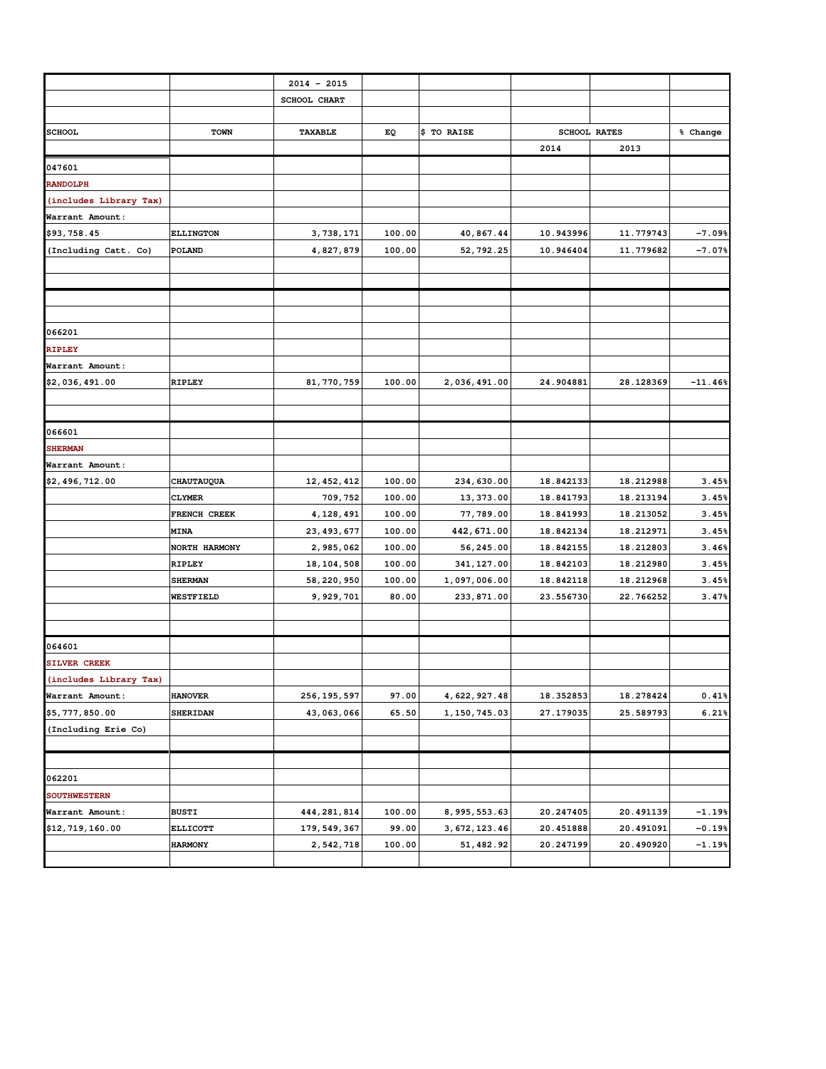|                        |                  | $2014 - 2015$ |        |                |           |                     |           |
|------------------------|------------------|---------------|--------|----------------|-----------|---------------------|-----------|
|                        |                  | SCHOOL CHART  |        |                |           |                     |           |
|                        |                  |               |        |                |           |                     |           |
| <b>SCHOOL</b>          | <b>TOWN</b>      | TAXABLE       | EQ     | \$ TO RAISE    |           | <b>SCHOOL RATES</b> | % Change  |
|                        |                  |               |        |                | 2014      | 2013                |           |
| 047601                 |                  |               |        |                |           |                     |           |
| <b>RANDOLPH</b>        |                  |               |        |                |           |                     |           |
| (includes Library Tax) |                  |               |        |                |           |                     |           |
| Warrant Amount:        |                  |               |        |                |           |                     |           |
| \$93,758.45            | <b>ELLINGTON</b> | 3,738,171     | 100.00 | 40,867.44      | 10.943996 | 11.779743           | $-7.09%$  |
| (Including Catt. Co)   | POLAND           | 4,827,879     | 100.00 | 52, 792.25     | 10.946404 | 11.779682           | $-7.07%$  |
|                        |                  |               |        |                |           |                     |           |
|                        |                  |               |        |                |           |                     |           |
|                        |                  |               |        |                |           |                     |           |
|                        |                  |               |        |                |           |                     |           |
| 066201                 |                  |               |        |                |           |                     |           |
| <b>RIPLEY</b>          |                  |               |        |                |           |                     |           |
| Warrant Amount:        |                  |               |        |                |           |                     |           |
| \$2,036,491.00         | <b>RIPLEY</b>    | 81, 770, 759  | 100.00 | 2,036,491.00   | 24.904881 | 28.128369           | $-11.46%$ |
|                        |                  |               |        |                |           |                     |           |
|                        |                  |               |        |                |           |                     |           |
| 066601                 |                  |               |        |                |           |                     |           |
| <b>SHERMAN</b>         |                  |               |        |                |           |                     |           |
| Warrant Amount:        |                  |               |        |                |           |                     |           |
| \$2,496,712.00         | CHAUTAUQUA       | 12, 452, 412  | 100.00 | 234,630.00     | 18.842133 | 18.212988           | 3.45%     |
|                        | <b>CLYMER</b>    | 709,752       | 100.00 | 13, 373.00     | 18.841793 | 18.213194           | 3.45%     |
|                        | FRENCH CREEK     | 4, 128, 491   | 100.00 | 77,789.00      | 18.841993 | 18.213052           | 3.45%     |
|                        | MINA             | 23, 493, 677  | 100.00 | 442, 671.00    | 18.842134 | 18.212971           | 3.45%     |
|                        | NORTH HARMONY    | 2,985,062     | 100.00 | 56,245.00      | 18.842155 | 18.212803           | 3.46%     |
|                        | <b>RIPLEY</b>    | 18, 104, 508  | 100.00 | 341, 127.00    | 18.842103 | 18.212980           | 3.45%     |
|                        | <b>SHERMAN</b>   | 58, 220, 950  | 100.00 | 1,097,006.00   | 18.842118 | 18.212968           | 3.45%     |
|                        | WESTFIELD        | 9,929,701     | 80.00  | 233, 871.00    | 23.556730 | 22.766252           | 3.47%     |
|                        |                  |               |        |                |           |                     |           |
|                        |                  |               |        |                |           |                     |           |
| 064601                 |                  |               |        |                |           |                     |           |
| SILVER CREEK           |                  |               |        |                |           |                     |           |
| (includes Library Tax) |                  |               |        |                |           |                     |           |
| Warrant Amount:        | <b>HANOVER</b>   | 256, 195, 597 | 97.00  | 4, 622, 927.48 | 18.352853 | 18.278424           | 0.41%     |
| \$5,777,850.00         | <b>SHERIDAN</b>  | 43,063,066    | 65.50  | 1, 150, 745.03 | 27.179035 | 25.589793           | 6.21%     |
| (Including Erie Co)    |                  |               |        |                |           |                     |           |
|                        |                  |               |        |                |           |                     |           |
|                        |                  |               |        |                |           |                     |           |
| 062201                 |                  |               |        |                |           |                     |           |
| <b>SOUTHWESTERN</b>    |                  |               |        |                |           |                     |           |
| Warrant Amount:        | <b>BUSTI</b>     | 444,281,814   | 100.00 | 8, 995, 553.63 | 20.247405 | 20.491139           | $-1.19%$  |
| \$12,719,160.00        | <b>ELLICOTT</b>  | 179, 549, 367 | 99.00  | 3, 672, 123.46 | 20.451888 | 20.491091           | $-0.19%$  |
|                        | <b>HARMONY</b>   | 2,542,718     | 100.00 | 51, 482.92     | 20.247199 | 20.490920           | $-1.19%$  |
|                        |                  |               |        |                |           |                     |           |